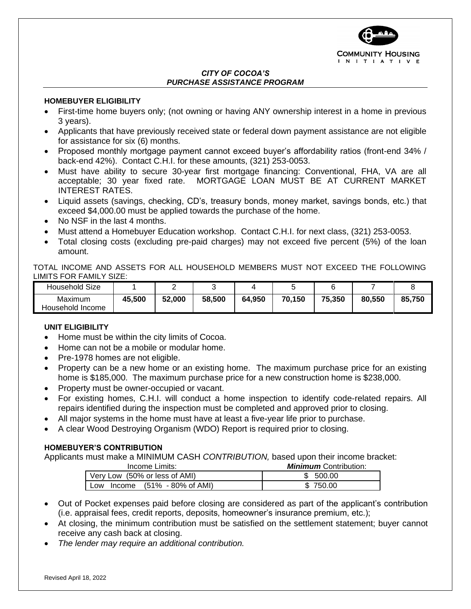

#### *CITY OF COCOA'S PURCHASE ASSISTANCE PROGRAM*

## **HOMEBUYER ELIGIBILITY**

- First-time home buyers only; (not owning or having ANY ownership interest in a home in previous 3 years).
- Applicants that have previously received state or federal down payment assistance are not eligible for assistance for six (6) months.
- Proposed monthly mortgage payment cannot exceed buyer's affordability ratios (front-end 34% / back-end 42%). Contact C.H.I. for these amounts, (321) 253-0053.
- Must have ability to secure 30-year first mortgage financing: Conventional, FHA, VA are all acceptable; 30 year fixed rate. MORTGAGE LOAN MUST BE AT CURRENT MARKET INTEREST RATES.
- Liquid assets (savings, checking, CD's, treasury bonds, money market, savings bonds, etc.) that exceed \$4,000.00 must be applied towards the purchase of the home.
- No NSF in the last 4 months.
- Must attend a Homebuyer Education workshop. Contact C.H.I. for next class, (321) 253-0053.
- Total closing costs (excluding pre-paid charges) may not exceed five percent (5%) of the loan amount.

TOTAL INCOME AND ASSETS FOR ALL HOUSEHOLD MEMBERS MUST NOT EXCEED THE FOLLOWING LIMITS FOR FAMILY SIZE:

| Household Size   |        | -      |        |        |        |        |        |        |
|------------------|--------|--------|--------|--------|--------|--------|--------|--------|
| Maximum          | 45,500 | 52,000 | 58,500 | 64,950 | 70,150 | 75,350 | 80,550 | 85,750 |
| Household Income |        |        |        |        |        |        |        |        |

# **UNIT ELIGIBILITY**

- Home must be within the city limits of Cocoa.
- Home can not be a mobile or modular home.
- Pre-1978 homes are not eligible.
- Property can be a new home or an existing home. The maximum purchase price for an existing home is \$185,000. The maximum purchase price for a new construction home is \$238,000.
- Property must be owner-occupied or vacant.
- For existing homes, C.H.I. will conduct a home inspection to identify code-related repairs. All repairs identified during the inspection must be completed and approved prior to closing.
- All major systems in the home must have at least a five-year life prior to purchase.
- A clear Wood Destroying Organism (WDO) Report is required prior to closing.

### **HOMEBUYER'S CONTRIBUTION**

Applicants must make a MINIMUM CASH *CONTRIBUTION,* based upon their income bracket:

| Income Limits:                               | <b>Minimum</b> Contribution: |  |  |  |
|----------------------------------------------|------------------------------|--|--|--|
| Very Low (50% or less of AMI)                | - 500.00                     |  |  |  |
| Income $(51\% - 80\% \text{ of AMI})$<br>Low | 750.00                       |  |  |  |

- Out of Pocket expenses paid before closing are considered as part of the applicant's contribution (i.e. appraisal fees, credit reports, deposits, homeowner's insurance premium, etc.);
- At closing, the minimum contribution must be satisfied on the settlement statement; buyer cannot receive any cash back at closing.
- *The lender may require an additional contribution.*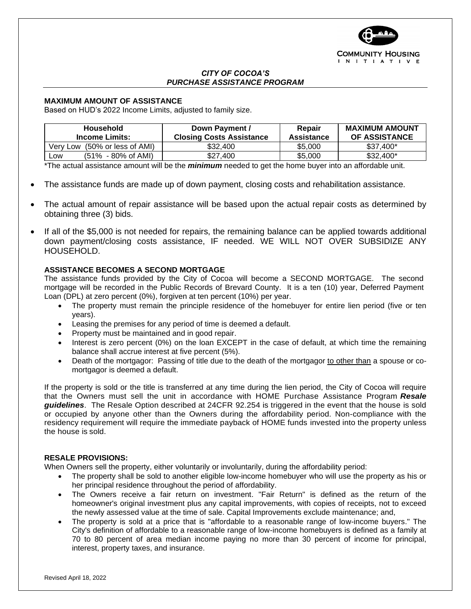

#### *CITY OF COCOA'S PURCHASE ASSISTANCE PROGRAM*

#### **MAXIMUM AMOUNT OF ASSISTANCE**

Based on HUD's 2022 Income Limits, adjusted to family size.

| Household<br>Income Limits:           | Down Payment /<br><b>Closing Costs Assistance</b> | Repair<br>Assistance | <b>MAXIMUM AMOUNT</b><br><b>OF ASSISTANCE</b> |  |
|---------------------------------------|---------------------------------------------------|----------------------|-----------------------------------------------|--|
| Very Low (50% or less of AMI)         | \$32,400                                          | \$5,000              | $$37.400*$                                    |  |
| $(51\% - 80\% \text{ of AMI})$<br>LOW | \$27,400                                          | \$5,000              | $$32.400*$                                    |  |

\*The actual assistance amount will be the *minimum* needed to get the home buyer into an affordable unit.

- The assistance funds are made up of down payment, closing costs and rehabilitation assistance.
- The actual amount of repair assistance will be based upon the actual repair costs as determined by obtaining three (3) bids.
- If all of the \$5,000 is not needed for repairs, the remaining balance can be applied towards additional down payment/closing costs assistance, IF needed. WE WILL NOT OVER SUBSIDIZE ANY HOUSEHOLD.

#### **ASSISTANCE BECOMES A SECOND MORTGAGE**

The assistance funds provided by the City of Cocoa will become a SECOND MORTGAGE. The second mortgage will be recorded in the Public Records of Brevard County. It is a ten (10) year, Deferred Payment Loan (DPL) at zero percent (0%), forgiven at ten percent (10%) per year.

- The property must remain the principle residence of the homebuyer for entire lien period (five or ten years).
- Leasing the premises for any period of time is deemed a default.
- Property must be maintained and in good repair.
- Interest is zero percent (0%) on the loan EXCEPT in the case of default, at which time the remaining balance shall accrue interest at five percent (5%).
- Death of the mortgagor: Passing of title due to the death of the mortgagor to other than a spouse or comortgagor is deemed a default.

If the property is sold or the title is transferred at any time during the lien period, the City of Cocoa will require that the Owners must sell the unit in accordance with HOME Purchase Assistance Program *Resale guidelines*. The Resale Option described at 24CFR 92.254 is triggered in the event that the house is sold or occupied by anyone other than the Owners during the affordability period. Non-compliance with the residency requirement will require the immediate payback of HOME funds invested into the property unless the house is sold.

#### **RESALE PROVISIONS:**

When Owners sell the property, either voluntarily or involuntarily, during the affordability period:

- The property shall be sold to another eligible low-income homebuyer who will use the property as his or her principal residence throughout the period of affordability.
- The Owners receive a fair return on investment. "Fair Return" is defined as the return of the homeowner's original investment plus any capital improvements, with copies of receipts, not to exceed the newly assessed value at the time of sale. Capital Improvements exclude maintenance; and,
- The property is sold at a price that is "affordable to a reasonable range of low-income buyers." The City's definition of affordable to a reasonable range of low-income homebuyers is defined as a family at 70 to 80 percent of area median income paying no more than 30 percent of income for principal, interest, property taxes, and insurance.